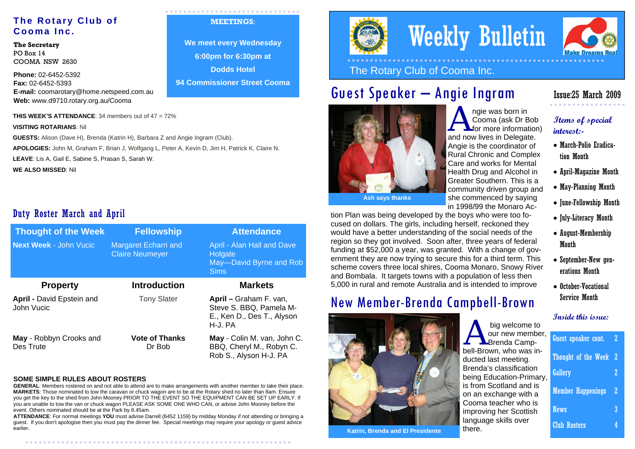#### **The Rotary Club of Cooma Inc.**

**The Secretary**  PO Box 14 COOMA NSW 2630

**Phone:** 02-6452-5392 **Fax:** 02-6452-5393 **E-mail:** coomarotary@home.netspeed.com.au **Web:** www.d9710.rotary.org.au/Cooma

**THIS WEEK'S ATTENDANCE**: 34 members out of 47 = 72%

**VISITING ROTARIANS**: Nil

**GUESTS:** Alison (Dave H), Brenda (Katrin H), Barbara Z and Angie Ingram (Club). **APOLOGIES:** John M, Graham F, Brian J, Wolfgang L, Peter A, Kevin D, Jim H, Patrick K, Claire N. **LEAVE**: Lis A, Gail E, Sabine S, Prasan S, Sarah W.

**WE ALSO MISSED**: Nil

#### Duty Roster March and April

| <b>Thought of the Week</b>              | <b>Fellowship</b>                                     | <b>Attendance</b>                                                                          |
|-----------------------------------------|-------------------------------------------------------|--------------------------------------------------------------------------------------------|
| <b>Next Week - John Vucic</b>           | <b>Margaret Echarri and</b><br><b>Claire Neumeyer</b> | April - Alan Hall and Dave<br>Holgate<br>May-David Byrne and Rob<br><b>Sims</b>            |
| <b>Property</b>                         | <b>Introduction</b>                                   | <b>Markets</b>                                                                             |
| April - David Epstein and<br>John Vucic | <b>Tony Slater</b>                                    | April – Graham F. van,<br>Steve S. BBQ, Pamela M-<br>E., Ken D., Des T., Alyson<br>H-J. PA |
| May - Robbyn Crooks and<br>Des Trute    | <b>Vote of Thanks</b><br>Dr Bob                       | May - Colin M. van, John C.<br>BBQ, Cheryl M., Robyn C.<br>Rob S., Alyson H-J. PA          |

#### **SOME SIMPLE RULES ABOUT ROSTERS**

. . . . . . . . . . . . . . . . . . . .

**GENERAL**: Members rostered on and not able to attend are to make arrangements with another member to take their place. **MARKETS**: Those nominated to tow the caravan or chuck wagon are to be at the Rotary shed no later than 8am. Ensure you get the key to the shed from John Mooney PRIOR TO THE EVENT SO THE EQUIPMENT CAN BE SET UP EARLY. If you are unable to tow the van or chuck wagon PLEASE ASK SOME ONE WHO CAN, or advise John Mooney before the event. Others nominated should be at the Park by 8.45am.

**ATTENDANCE**: For normal meetings **YOU** must advise Darrell (6452 1159) by midday Monday if not attending or bringing a guest. If you don't apologise then you must pay the dinner fee. Special meetings may require your apology or guest advice earlier.

#### **MEETINGS**:

**We meet every Wednesday 6:00pm for 6:30pm at Dodds Hotel 94 Commissioner Street Cooma**



# Weekly Bulletin



### Guest Speaker – Angie Ingram



ngie was born in<br>Cooma (ask Dr Bob<br>for more information) and now lives in Delegate. Angie is the coordinator of Rural Chronic and Complex Care and works for Mental Health Drug and Alcohol in Greater Southern. This is a community driven group and she commenced by saying in 1998/99 the Monaro Ac-

tion Plan was being developed by the boys who were too focused on dollars. The girls, including herself, reckoned they would have a better understanding of the social needs of the region so they got involved. Soon after, three years of federal funding at \$52,000 a year, was granted. With a change of government they are now trying to secure this for a third term. This scheme covers three local shires, Cooma Monaro, Snowy River and Bombala. It targets towns with a population of less then 5,000 in rural and remote Australia and is intended to improve

### New Member-Brenda Campbell-Brown



**Katrin, Brenda and El Presidente** 

#### Issue:25 March 2009

#### **Items of special interest:-**

- March-Polio Eradication Month
- April-Magazine Month
- May-Planning Month
- June-Fellowship Month
- July-Literacy Month
- August-Membership Month
- September-New generations Month
- October-Vocational Service Month

#### **Inside this issue:**

| big welcome to                                      |                            |   |
|-----------------------------------------------------|----------------------------|---|
| our new member,<br>$\Gamma$ <b>N</b> Brenda Camp-   | Guest speaker cont.        | 2 |
| bell-Brown, who was in-<br>ducted last meeting.     | <b>Thought of the Week</b> | 2 |
| Brenda's classification<br>being Education-Primary, | <b>Gallery</b>             |   |
| is from Scotland and is<br>on an exchange with a    | <b>Member Happenings</b>   | 2 |
| Cooma teacher who is<br>improving her Scottish      | <b>News</b>                |   |
| language skills over<br>there.                      | <b>Club Rosters</b>        |   |
|                                                     |                            |   |